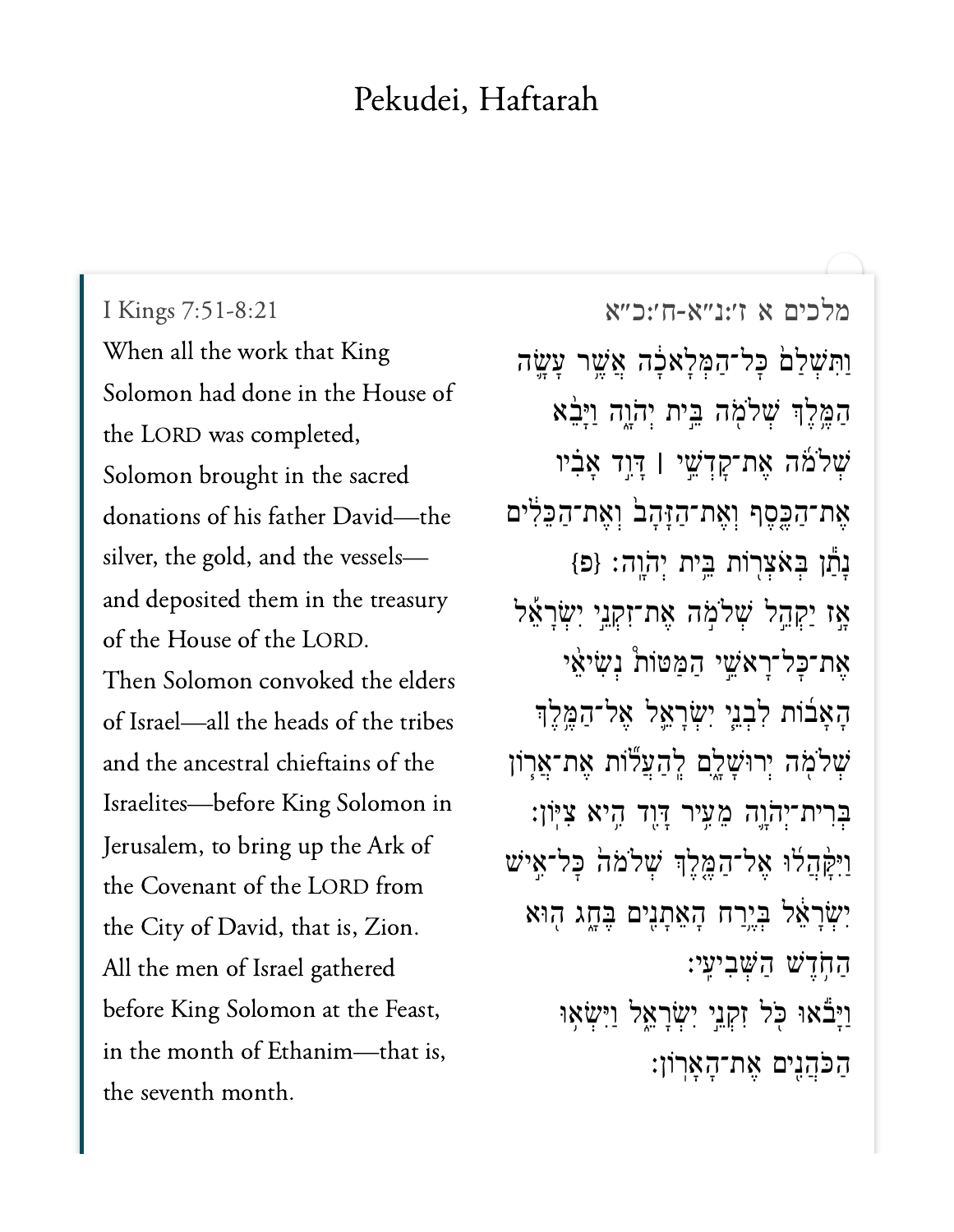## Pekudei, Haftarah

I Kings 7:51-8:21 When all the work that King Solomon had done in the House of the LORD was completed, Solomon brought in the sacred donations of his father David-the silver, the gold, and the vesselsand deposited them in the treasury of the House of the LORD. Then Solomon convoked the elders of Israel-all the heads of the tribes and the ancestral chieftains of the Israelites-before King Solomon in Jerusalem, to bring up the Ark of the Covenant of the LORD from the City of David, that is, Zion. All the men of Israel gathered before King Solomon at the Feast, in the month of Ethanim-that is, the seventh month.

מלכים א ז':נ"א-ח':כ"א וַתִּשְׁלַם כָּל־הַמְּלָאלָה אֲשֱר עָשֱה הַמֱלֵךְ שָׁלֹמָה בֵּית יְהֹוָה וַיָּבָ֫א שְׁלֹמֹה אֶת־קַדְשֵׁי | דְּוֶד אֲבִיו אֶת־הַכֵּסֵף וְאֶת־הַזָּהָבֹ וְאֶת־הַכֵּלִּים נָתַן בְאֹצְרְוֹת בֵּיִת יְהֹוֶה: {פּ} אַז יַקְהֵל שִׁלֹמְה אֶת־זִקְנֵי יִשְׂרָאֵל אֵת־כָּל־רָאֹשֵׁי הַמַּטּוֹת נִשְׂיאֵי הָאָבוֹת לִבְנֵי יִשְׂרָאֱל אֶל־הַמֱלֶךְ ּשְׁלֹמָה יְרוּשָׁלֶם לְהַעֲלֹוֹת אֵת־אֲרָוֹן בְרִית־יְהֹוֶה מֶעֵיר דְּוֶד הֵיא צִיּוֹן: וַיִּקַּהֲלוּ אֱל־הַמֱלֵךְ שָׁלֹמֹה כָּל־אֵישׁ יִשְׂרָאֵל בְּיֱרַח הָאֵתָנִים בָּחֱג הָוּא הַחָּדֵשׁ הַשְּׁבִיעֵי: וַיָּבֿאוּ כִּל זִקְנֵי יִשְׂרָאֱל וַיִּשְׂאָוּ הַכֹּהֲנֵים אֶת־הָאֲרוֹן: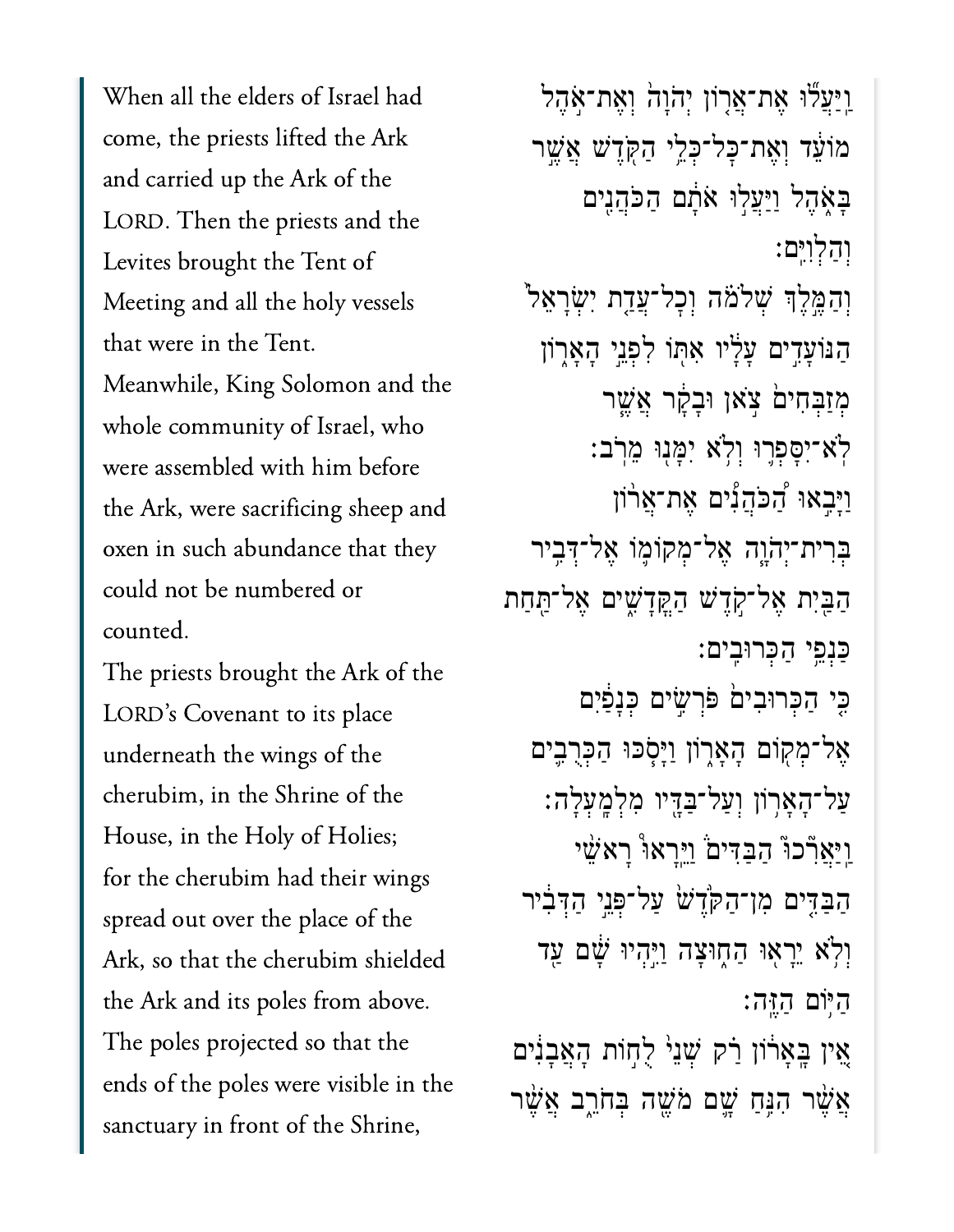When all the elders of Israel had come, the priests lifted the Ark and carried up the Ark of the LORD. Then the priests and the Meeting and all the holy vesselsMeeting and all the holy vessels that were in the Tent. Meanwhile, King Solomon and the whole community of Israel, who were assembled with him before the Ark, were sacrificing sheep and oxen in such abundance that they could not be numbered or  $T_{\text{total}}$ 

The priests brought the Ark of the LORD's Covenant to its place underneath the wings of the cherubim, in the Shrine of the House, in the Holy of Holies; for the cherubim had their wings spread out over the place of the Ark, so that the cherubim shielded the Ark and its poles from above. The poles projected so that the ends of the poles were visible in the sanctuary in front of the Shrine,

וַיַּעֲלֹוּ אֶת־אֲרָוֹן יִהֹוָה וְאֵת־אָהֶל מֹוֹעֵּ֫ד וְאֵת־כַּל־כְּלֵי הַקְּדֵֽשׁ אֲשֵׁר ַּבְאָהֶל וַיַּעֲלִוּ אֹתַם הַכֹּהֲנֵים ְוַהְלִוִּֽים׃ וְהַמֱלֶךְ שִׁלֹמֹּה וְכָל־עֲדָת יִשְׂרָאֵל<sup>י</sup> הַנּוֹעָדִים עָלָיו אִתְּוֹ לִפְנֵי הָאָרָוֹן ּמְזַבְחִים ׁ צִאן וּבָקָר אֱשֶׁר ֹֽלא־ִיָּסְפ֛רּו ְוֹ֥לא ִיָּמ֖נּו ֵמֹֽרב׃ ַוָּיִ֣באּו ַ֠הֹּכֲהִ֠נים ֶאת־ֲא֨רֹון ּבִּרִית־יְהֹוֶה אֱל־מִקוֹמֶוֹ אֱל־דָּבִיר ַהַבִּיִת אֲל־קָדֶשׁ הַקֲדָשִׁים אֱל־תַּחַת ַּכְנֵ֥פי ַהְּכרּוִֽבים׃ ַּכֵּי הַכְּרוּבִיםׂ פִּרְשֵׂים כְּנָפַוִּם ְאֶל־מְקִוֹם הָאָרְוֹן וַיָּסְכּוּ הַכְּרָבֵים ַעֲל־הָאֲרִוֹן וְעֲל־בַּדֵּיו מְלְמֵעְלַה: וַיִּאֲרְלכוּ הַבַּדִּים <u>וַיִּ</u>רְאוּ רָאֹשֵׁי הַבִּדִּים מִן־הַקְּדֵשׁ עַל־פְּנֵי הַדְּבִיר וִלְאׁ יֵרַאוּ הַחָוּצָה וַיֵּהִיוּ שָׁם עַד היּוֹם הזה: אֵין בְּאָרֹוֹן רַׂק שְׁנֵי לֻחְוֹת הָאֲבָנִים אֲשֶׁר הִנֵּחַ שָׁם מֹּשֶׁה בְּחֹרֶב אֲשֶׁר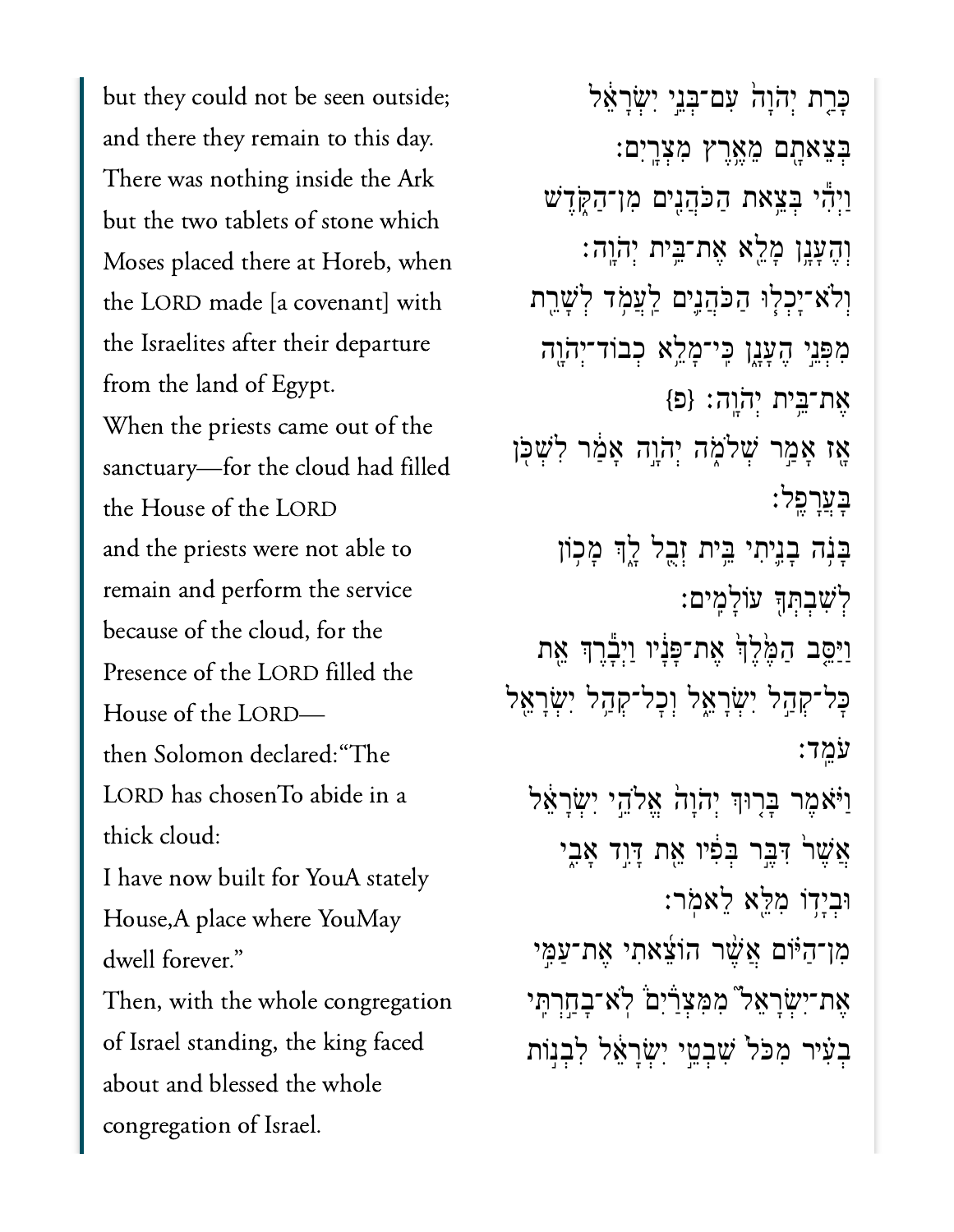but they could not be seen outside; and there they remain to this day. There was nothing inside the Ark but the two tablets of stone which Moses placed there at Horeb, when the LORD made [a covenant] with the Israelites after their departure from the land of Egypt. When the priests came out of the sanctuary-for the cloud had filled the House of the LORD and the priests were not able to remain and perform the service because of the cloud, for the Presence of the LORD filled the House of the LORDthen Solomon declared: "The LORD has chosenTo abide in a thick cloud: I have now built for YouA stately House, A place where YouMay dwell forever." Then, with the whole congregation of Israel standing, the king faced about and blessed the whole congregation of Israel.

ָּכַרֶת יְהֹוָה עִם־בְּנֵי יִשְׂרָאֵל ְּבֵצאָ֖תם ֵמֶ֥אֶרץ ִמְצָֽרִים׃ ַוְיִ֕הי ְּבֵ֥צאת ַהֹּכֲהִ֖נים ִמן־ַהֹּ֑קֶדׁש ְוֶהָעָ֥נן ָמֵ֖לא ֶאת־ֵּ֥בית ְי ֹה ָֽוֹהָֽוה׃ וִלֹא־יָכְלְוּ הַכֹּהֲנֵים לַעֲמָד לְשָׁרֵת ְמִפְּנֵי הֵעֲנֵֽן כֵּי־מָלֵא כִבוֹד־יִהֹוֶה  ${p}$  :אֶת־בֵּית יְהֹוֶה; אַז אַמַר שִׁלֹמָה יְהֹוֵה אַמַ*֫ר לְ*שִׁכְּן ָּבֲעָרֶֽפל׃ ַּבְּנָה בָנֵיתִי בֵּית זְבָל לֶךְ מָכְוֹן ְלִׁשְבְּתָ֖ך עֹוָלִֽמים׃ ַוַּיַּסֵָּב הַמֶּ֫לֵךְׂ אֶת־פָּנָיו וַיִּבָרֵךְ אֶת ּכָּל־קְהָל יִשְׂרָאֱל וְכָל־קְהָל יִשְׂרָאֱל ֹעֵֽמד׃ וַיֹּאמֶר בַּרִוּךְ יִהֹוָה אֱלֹהֵי יְשָׂרָאֵל אֲשֶׁר יִּבֵּר בִּפִּ֫יוּ אֵת דָּוֶד אָבִי ּוְבָי֥דֹו ִמֵּ֖לא ֵלאֹֽמר׃ ַמְן־הַיּׂוֹם אֲשֶׁר הוֹצֵאתִי אֵת־עַמֶּי ּאֶת־יִשְׂרַאֵל" מִמְּצְרַיִם ֹּ לְא־בַחֲרְתֵּי ּבְעִיר מִכֹּל ֹשָׁבְטֵי יְשְׂרַאֵּל לְבְנִוּת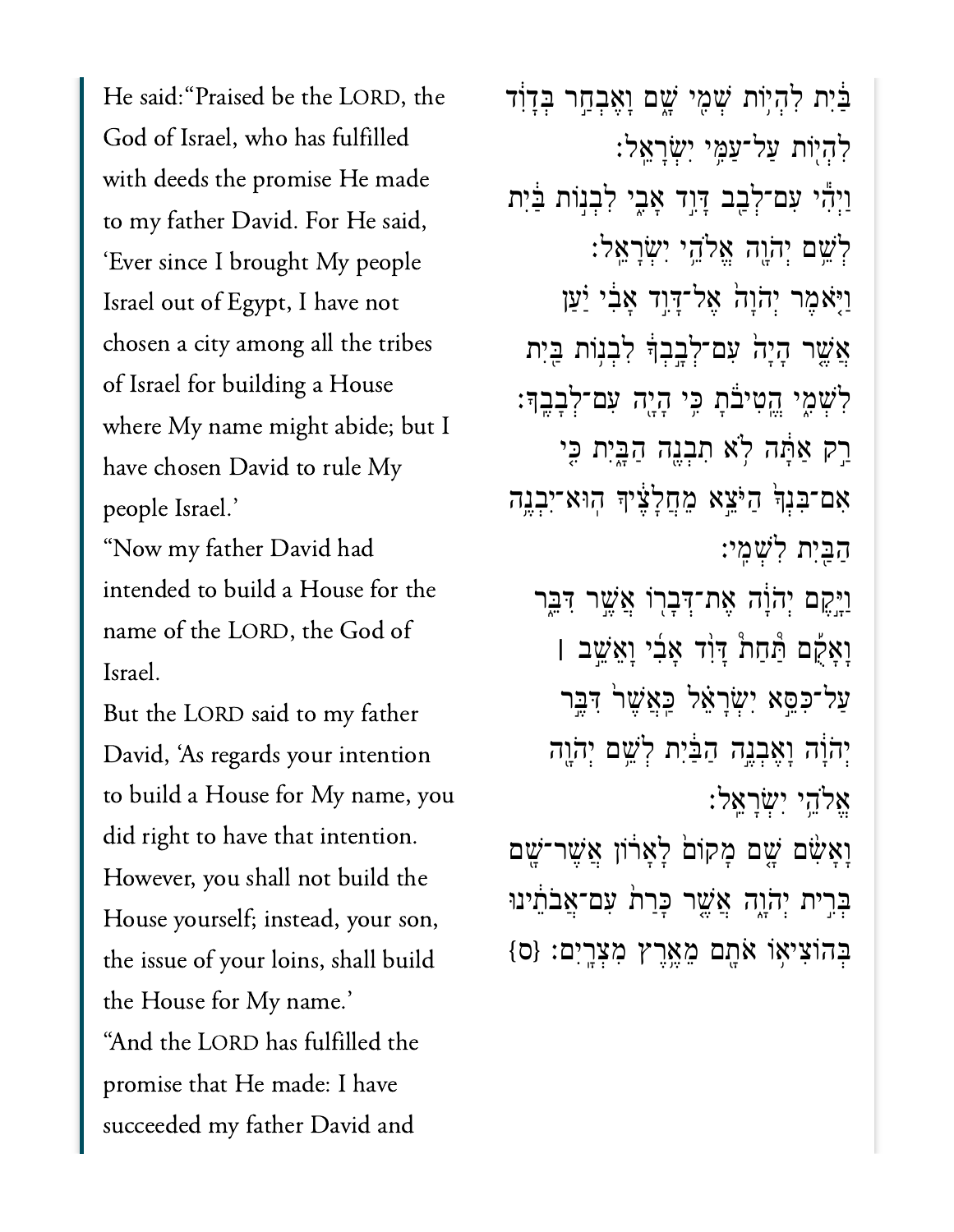He said: "Praised be the LORD, the God of Israel, who has fulfilled with deeds the promise He made to my father David. For He said, 'Ever since I brought My people Israel out of Egypt, I have not  $\overline{a}$  Israel for building a House House House House House House House House House House House House House House House House House House House House House House House House House House House House House House House Hous of Israel for building a House where My name might abide; but I have chosen David to rule My people Israel.'

"Now my father David had .<br>"Now my father David had<br>intended to build a House for the name of the LORD, the God of But the Lord said to my father the Lord said to my father than  $\mathcal{L}$ 

But the LORD said to my father David, 'As regards your intention to build a House for My name, you did right to have that intention. However, you shall not build the the issue of  $\frac{1}{2}$  is the issue of  $\frac{1}{2}$  is the isocial building  $\frac{1}{2}$  is the isocial building  $\frac{1}{2}$  is the isocial building  $\frac{1}{2}$  is the isocial building  $\frac{1}{2}$  is the isocial building  $\frac{1}{2}$  is the issue of your loins, shall build the House for My name.' "And the LORD has fulfilled the promise that He made: I have succeeded my father David and

ַּבִּיִת לְהִיִּוֹת שִׁמֵי שָׁם וָאֵבְחַר בְּדָוִד ִלְה֖יֹות ַעל־ַעִּ֥מי ִיְׂשָרֵֽאל׃ וַיְהִי עִם־לְבָב דָּוֶד אָבִי לְבִנְוֹת בַּיִת ְלְשֵׁם יְהֹוֵה אֱלֹהֵי יְשָׂרָאֱלֹ׃ וַיָּאמֶר יְהֹוַה אֱל־דָּוֶד אֲבִ֫י יַּעַן  $\gamma$ אֱשר הָיֲה עִם־לְבָבְךָ לְבְנִוֹת בֵּיִת ַלְּשָׁמִי הֵטִיּבֹּת כֵּי הָיֶה עִם־לְבָבֵךּ׃ ַרַק אַתָּה לְא תִבְנֵה הַבֲיִת כִּי ִאם־ִּבְנָ֙ך ַהֹּיֵ֣צא ֵמֲחָלֶ֔ציָך ֽהּוא־ִיְבֶ֥נה ַהַּ֖בִית ִלְׁשִֽמי׃ וַיֵּקֵם יְהֹוָה אֶת־דְּבְרִוֹ אֲשֶׁר דִּבְֶּר ָוָאֻ֡קם ַּ֩תַח֩ת ָּדִ֨וד ָאִ֜בי ָוֵאֵׁ֣שב **׀** ַעֲל־כִּסֱא יְשָׂרַאֵ֫ל כַּאֲשֶׁר דִּבֵּר יִהְוָּה וָאֵבְנֵה הַבַּ<sup>ׂיָ</sup>ת לְשֵׁם יְהָוֶה ֱאֹלֵ֥הי ִיְׂשָרֵֽאל׃ וַאֲשָׂר־שֳׁם מַקוֹם לַאַרוֹן אֲשֶׁר־שַׁם ּבְּרִית יְהֹוֶה אֲשֱר כְּרַת ׁעִם־אֲבֹתֵ֫ינוּ

ְּבהֹוִצי֥אֹו ֹאָ֖תם ֵמֶ֥אֶרץ ִמְצָֽרִים׃ }ס{